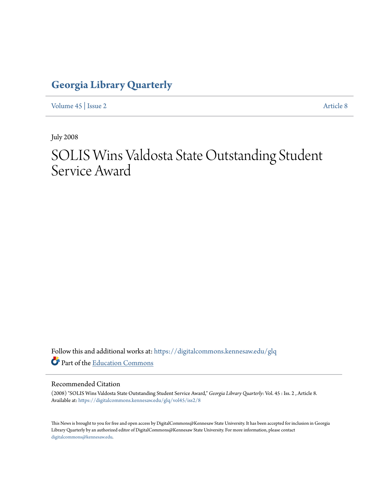### **[Georgia Library Quarterly](https://digitalcommons.kennesaw.edu/glq?utm_source=digitalcommons.kennesaw.edu%2Fglq%2Fvol45%2Fiss2%2F8&utm_medium=PDF&utm_campaign=PDFCoverPages)**

[Volume 45](https://digitalcommons.kennesaw.edu/glq/vol45?utm_source=digitalcommons.kennesaw.edu%2Fglq%2Fvol45%2Fiss2%2F8&utm_medium=PDF&utm_campaign=PDFCoverPages) | [Issue 2](https://digitalcommons.kennesaw.edu/glq/vol45/iss2?utm_source=digitalcommons.kennesaw.edu%2Fglq%2Fvol45%2Fiss2%2F8&utm_medium=PDF&utm_campaign=PDFCoverPages) [Article 8](https://digitalcommons.kennesaw.edu/glq/vol45/iss2/8?utm_source=digitalcommons.kennesaw.edu%2Fglq%2Fvol45%2Fiss2%2F8&utm_medium=PDF&utm_campaign=PDFCoverPages)

July 2008

# SOLIS Wins Valdosta State Outstanding Student Service Award

Follow this and additional works at: [https://digitalcommons.kennesaw.edu/glq](https://digitalcommons.kennesaw.edu/glq?utm_source=digitalcommons.kennesaw.edu%2Fglq%2Fvol45%2Fiss2%2F8&utm_medium=PDF&utm_campaign=PDFCoverPages) Part of the [Education Commons](http://network.bepress.com/hgg/discipline/784?utm_source=digitalcommons.kennesaw.edu%2Fglq%2Fvol45%2Fiss2%2F8&utm_medium=PDF&utm_campaign=PDFCoverPages)

#### Recommended Citation

(2008) "SOLIS Wins Valdosta State Outstanding Student Service Award," *Georgia Library Quarterly*: Vol. 45 : Iss. 2 , Article 8. Available at: [https://digitalcommons.kennesaw.edu/glq/vol45/iss2/8](https://digitalcommons.kennesaw.edu/glq/vol45/iss2/8?utm_source=digitalcommons.kennesaw.edu%2Fglq%2Fvol45%2Fiss2%2F8&utm_medium=PDF&utm_campaign=PDFCoverPages)

This News is brought to you for free and open access by DigitalCommons@Kennesaw State University. It has been accepted for inclusion in Georgia Library Quarterly by an authorized editor of DigitalCommons@Kennesaw State University. For more information, please contact [digitalcommons@kennesaw.edu.](mailto:digitalcommons@kennesaw.edu)